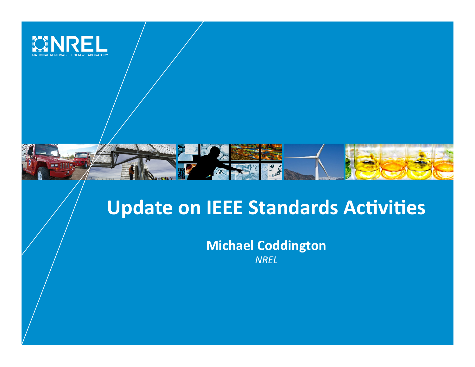

## **Update on IEEE Standards Activities**

**Michael Coddington** *NREL*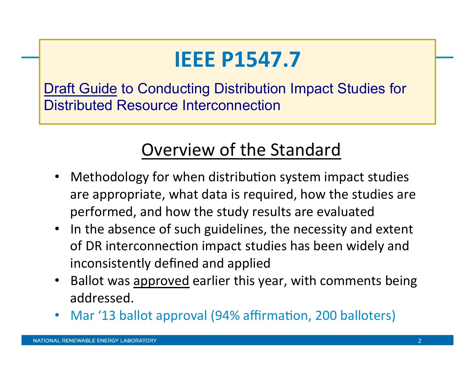# **IEEE P1547.7**

Draft Guide to Conducting Distribution Impact Studies for Distributed Resource Interconnection

### Overview of the Standard

- Methodology for when distribution system impact studies are appropriate, what data is required, how the studies are performed, and how the study results are evaluated
- In the absence of such guidelines, the necessity and extent of DR interconnection impact studies has been widely and inconsistently defined and applied
- Ballot was approved earlier this year, with comments being addressed.
- Mar '13 ballot approval (94% affirmation, 200 balloters)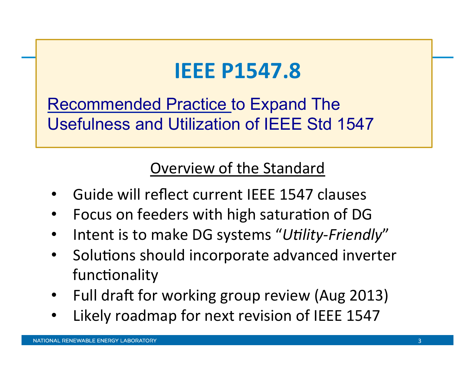## **IEEE P1547.8**

Recommended Practice to Expand The Usefulness and Utilization of IEEE Std 1547

#### Overview of the Standard

- Guide will reflect current IEEE 1547 clauses
- Focus on feeders with high saturation of DG
- Intent is to make DG systems "Utility-Friendly"
- Solutions should incorporate advanced inverter functionality
- Full draft for working group review (Aug 2013)
- Likely roadmap for next revision of IEEE 1547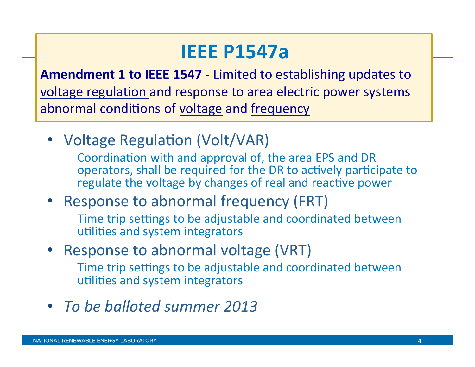## **IEEE P1547a**

**Amendment 1 to IEEE 1547** - Limited to establishing updates to voltage regulation and response to area electric power systems abnormal conditions of voltage and frequency

• Voltage Regulation (Volt/VAR)

Coordination with and approval of, the area EPS and DR operators, shall be required for the DR to actively participate to regulate the voltage by changes of real and reactive power

• Response to abnormal frequency (FRT)

Time trip settings to be adjustable and coordinated between utilities and system integrators

- Response to abnormal voltage (VRT) Time trip settings to be adjustable and coordinated between utilities and system integrators
- *To be balloted summer 2013*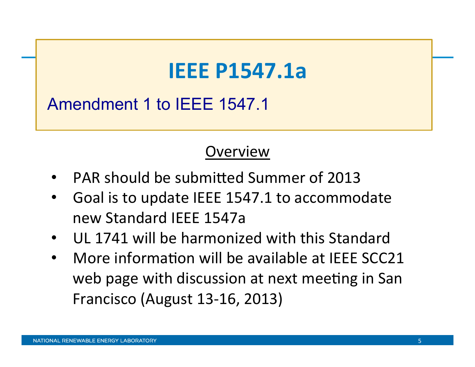## **IEEE P1547.1a**

Amendment 1 to IEEE 1547.1

#### **Overview**

- PAR should be submitted Summer of 2013
- Goal is to update IEEE 1547.1 to accommodate new Standard IEEE 1547a
- UL 1741 will be harmonized with this Standard
- More information will be available at IEEE SCC21 web page with discussion at next meeting in San Francisco (August 13-16, 2013)